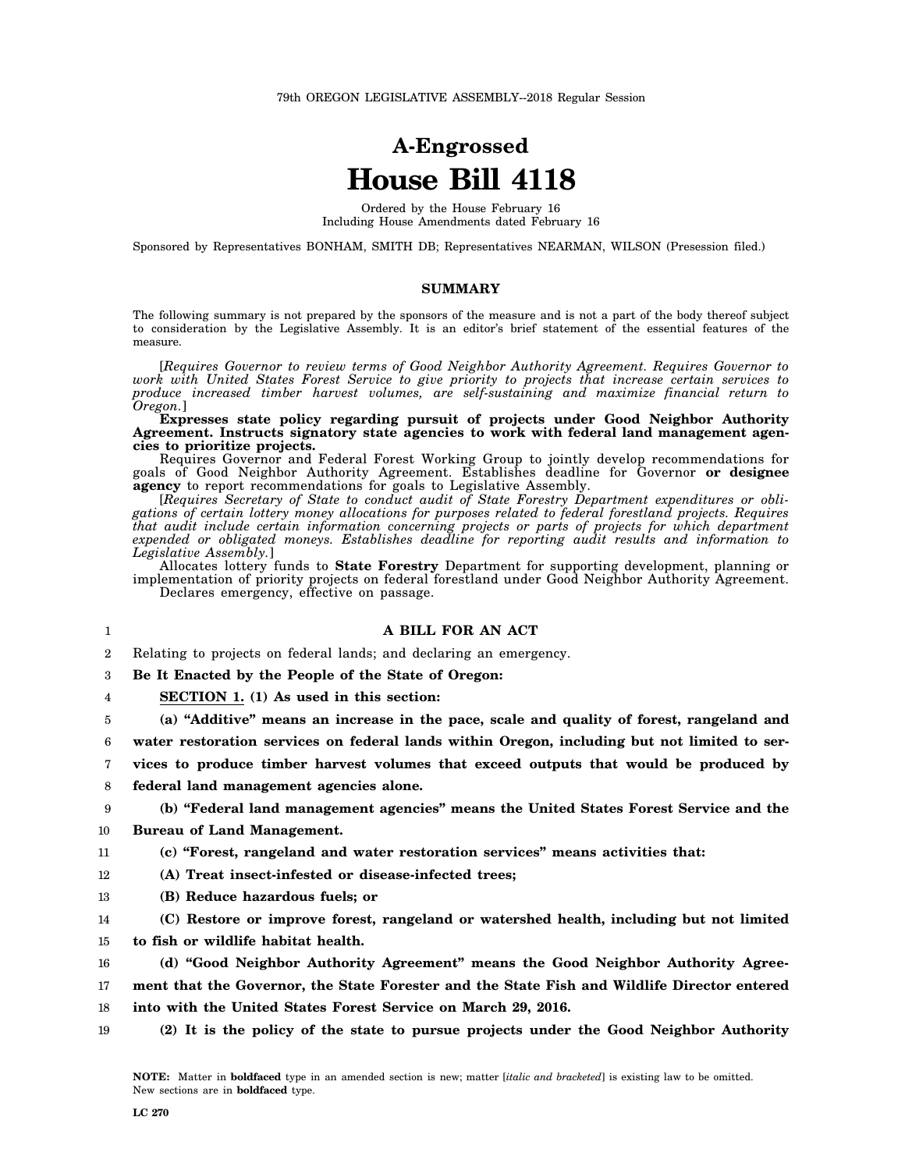## **A-Engrossed House Bill 4118**

Ordered by the House February 16 Including House Amendments dated February 16

Sponsored by Representatives BONHAM, SMITH DB; Representatives NEARMAN, WILSON (Presession filed.)

## **SUMMARY**

The following summary is not prepared by the sponsors of the measure and is not a part of the body thereof subject to consideration by the Legislative Assembly. It is an editor's brief statement of the essential features of the measure.

[*Requires Governor to review terms of Good Neighbor Authority Agreement. Requires Governor to work with United States Forest Service to give priority to projects that increase certain services to produce increased timber harvest volumes, are self-sustaining and maximize financial return to Oregon.*]

**Expresses state policy regarding pursuit of projects under Good Neighbor Authority Agreement. Instructs signatory state agencies to work with federal land management agencies to prioritize projects.**

Requires Governor and Federal Forest Working Group to jointly develop recommendations for goals of Good Neighbor Authority Agreement. Establishes deadline for Governor **or designee agency** to report recommendations for goals to Legislative Assembly.

[*Requires Secretary of State to conduct audit of State Forestry Department expenditures or obligations of certain lottery money allocations for purposes related to federal forestland projects. Requires that audit include certain information concerning projects or parts of projects for which department expended or obligated moneys. Establishes deadline for reporting audit results and information to Legislative Assembly.*]

Allocates lottery funds to **State Forestry** Department for supporting development, planning or implementation of priority projects on federal forestland under Good Neighbor Authority Agreement. Declares emergency, effective on passage.

**A BILL FOR AN ACT**

2 Relating to projects on federal lands; and declaring an emergency.

3 **Be It Enacted by the People of the State of Oregon:**

4 **SECTION 1. (1) As used in this section:**

5 **(a) "Additive" means an increase in the pace, scale and quality of forest, rangeland and**

6 **water restoration services on federal lands within Oregon, including but not limited to ser-**

- 7 **vices to produce timber harvest volumes that exceed outputs that would be produced by**
- 8 **federal land management agencies alone.**

## **(b) "Federal land management agencies" means the United States Forest Service and the**

- 10 **Bureau of Land Management.**
- 11 **(c) "Forest, rangeland and water restoration services" means activities that:**
- 12 **(A) Treat insect-infested or disease-infected trees;**
- 13 **(B) Reduce hazardous fuels; or**
- 14 **(C) Restore or improve forest, rangeland or watershed health, including but not limited**
- 15 **to fish or wildlife habitat health.**
- 16 **(d) "Good Neighbor Authority Agreement" means the Good Neighbor Authority Agree-**

17 **ment that the Governor, the State Forester and the State Fish and Wildlife Director entered**

18 **into with the United States Forest Service on March 29, 2016.**

19 **(2) It is the policy of the state to pursue projects under the Good Neighbor Authority**

1

9